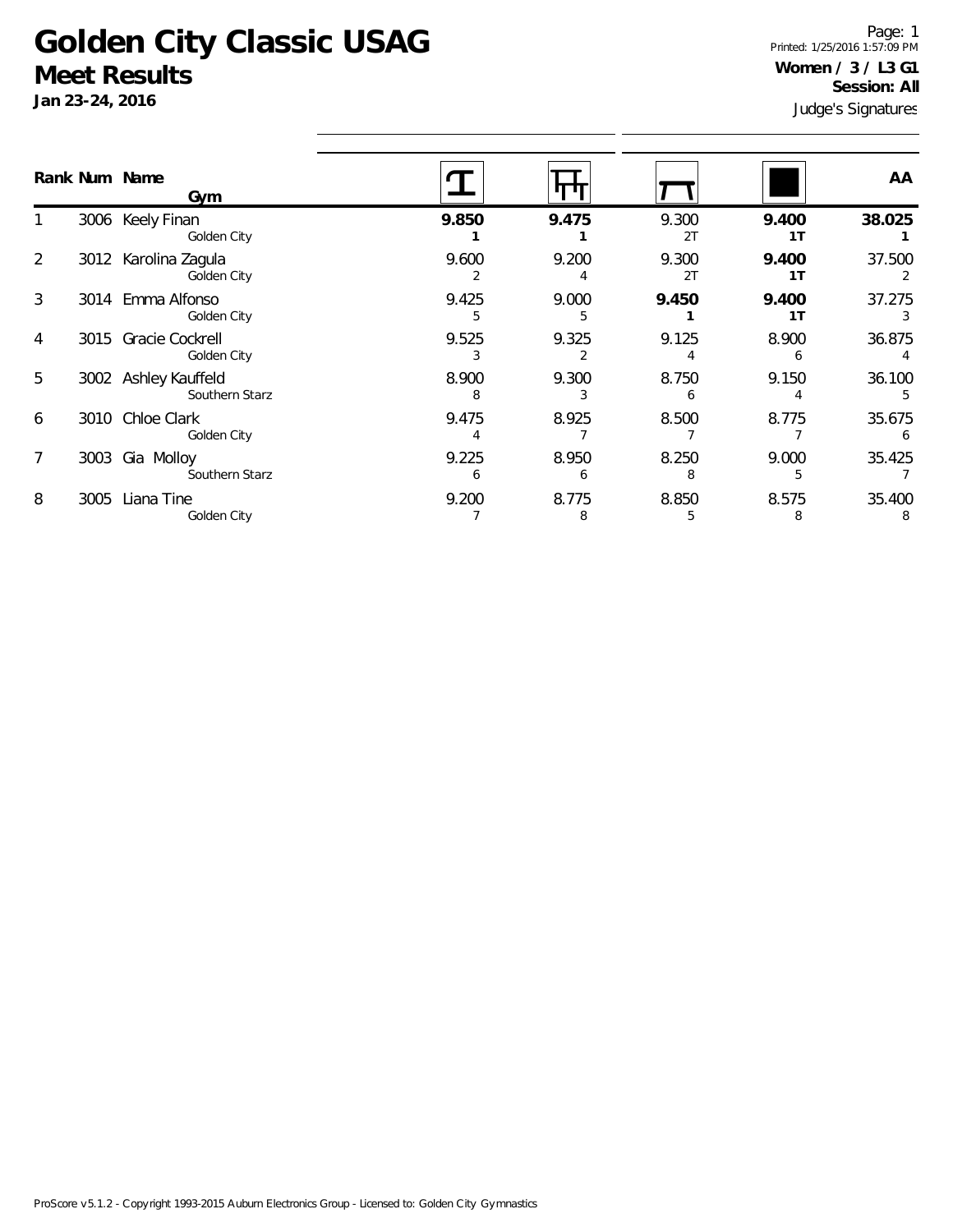## **Golden City Classic USAG Meet Results**

**Jan 23-24, 2016**

Judge's Signatures Page: 1 Printed: 1/25/2016 1:57:09 PM **Women / 3 / L3 G1 Session: All**

|   |      | Rank Num Name<br>Gym                   |            |            |             |             | AA          |
|---|------|----------------------------------------|------------|------------|-------------|-------------|-------------|
|   |      | 3006 Keely Finan<br>Golden City        | 9.850      | 9.475      | 9.300<br>2T | 9.400<br>1T | 38.025      |
| 2 |      | 3012 Karolina Zagula<br>Golden City    | 9.600      | 9.200      | 9.300<br>2T | 9.400<br>1T | 37.500      |
| 3 |      | 3014 Emma Alfonso<br>Golden City       | 9.425<br>5 | 9.000<br>5 | 9.450       | 9.400<br>1T | 37.275<br>3 |
| 4 |      | 3015 Gracie Cockrell<br>Golden City    | 9.525<br>3 | 9.325      | 9.125       | 8.900<br>6  | 36.875      |
| 5 |      | 3002 Ashley Kauffeld<br>Southern Starz | 8.900<br>8 | 9.300      | 8.750<br>6  | 9.150       | 36.100<br>5 |
| 6 |      | 3010 Chloe Clark<br>Golden City        | 9.475      | 8.925      | 8.500       | 8.775       | 35.675<br>6 |
|   | 3003 | Gia Molloy<br>Southern Starz           | 9.225<br>6 | 8.950<br>6 | 8.250<br>8  | 9.000<br>5  | 35.425      |
| 8 | 3005 | Liana Tine<br>Golden City              | 9.200      | 8.775<br>8 | 8.850       | 8.575<br>8  | 35.400<br>8 |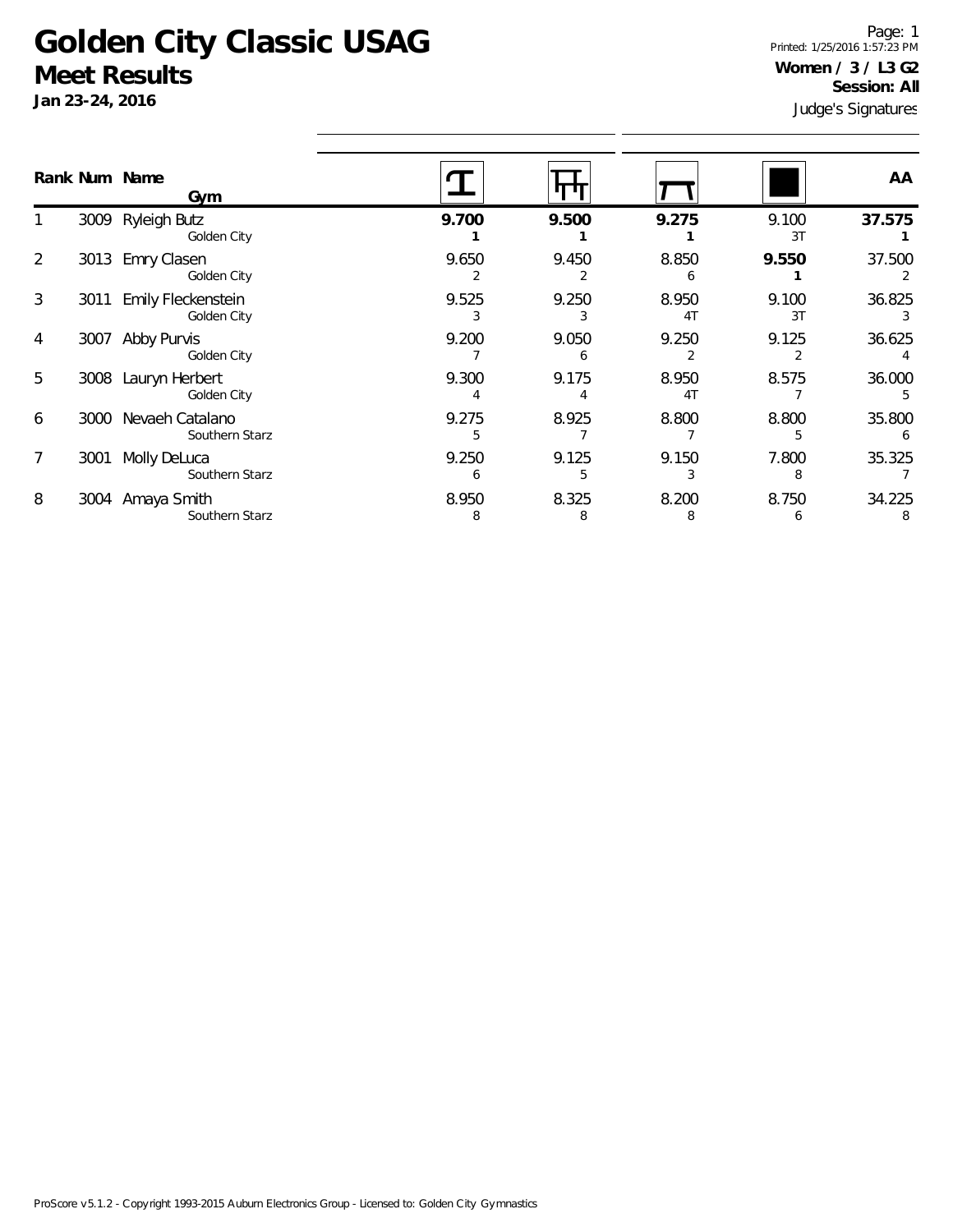## **Golden City Classic USAG Meet Results**

**Jan 23-24, 2016**

Judge's Signatures Page: 1 Printed: 1/25/2016 1:57:23 PM **Women / 3 / L3 G2 Session: All**

|   |      | Rank Num Name<br>Gym              |            |            |                         |             | AA          |
|---|------|-----------------------------------|------------|------------|-------------------------|-------------|-------------|
|   | 3009 | Ryleigh Butz<br>Golden City       | 9.700      | 9.500      | 9.275                   | 9.100<br>3T | 37.575      |
| 2 | 3013 | Emry Clasen<br>Golden City        | 9.650      | 9.450      | 8.850                   | 9.550       | 37.500      |
| 3 | 3011 | Emily Fleckenstein<br>Golden City | 9.525      | 9.250      | 8.950<br>4T             | 9.100<br>3T | 36.825      |
| 4 | 3007 | Abby Purvis<br>Golden City        | 9.200      | 9.050      | 9.250                   | 9.125       | 36.625      |
| 5 | 3008 | Lauryn Herbert<br>Golden City     | 9.300      | 9.175      | 8.950<br>4 <sub>T</sub> | 8.575       | 36.000      |
| 6 | 3000 | Nevaeh Catalano<br>Southern Starz | 9.275      | 8.925      | 8.800                   | 8.800       | 35.800      |
| 7 | 3001 | Molly DeLuca<br>Southern Starz    | 9.250      | 9.125      | 9.150                   | 7.800<br>8  | 35.325      |
| 8 | 3004 | Amaya Smith<br>Southern Starz     | 8.950<br>8 | 8.325<br>8 | 8.200<br>8              | 8.750<br>6  | 34.225<br>8 |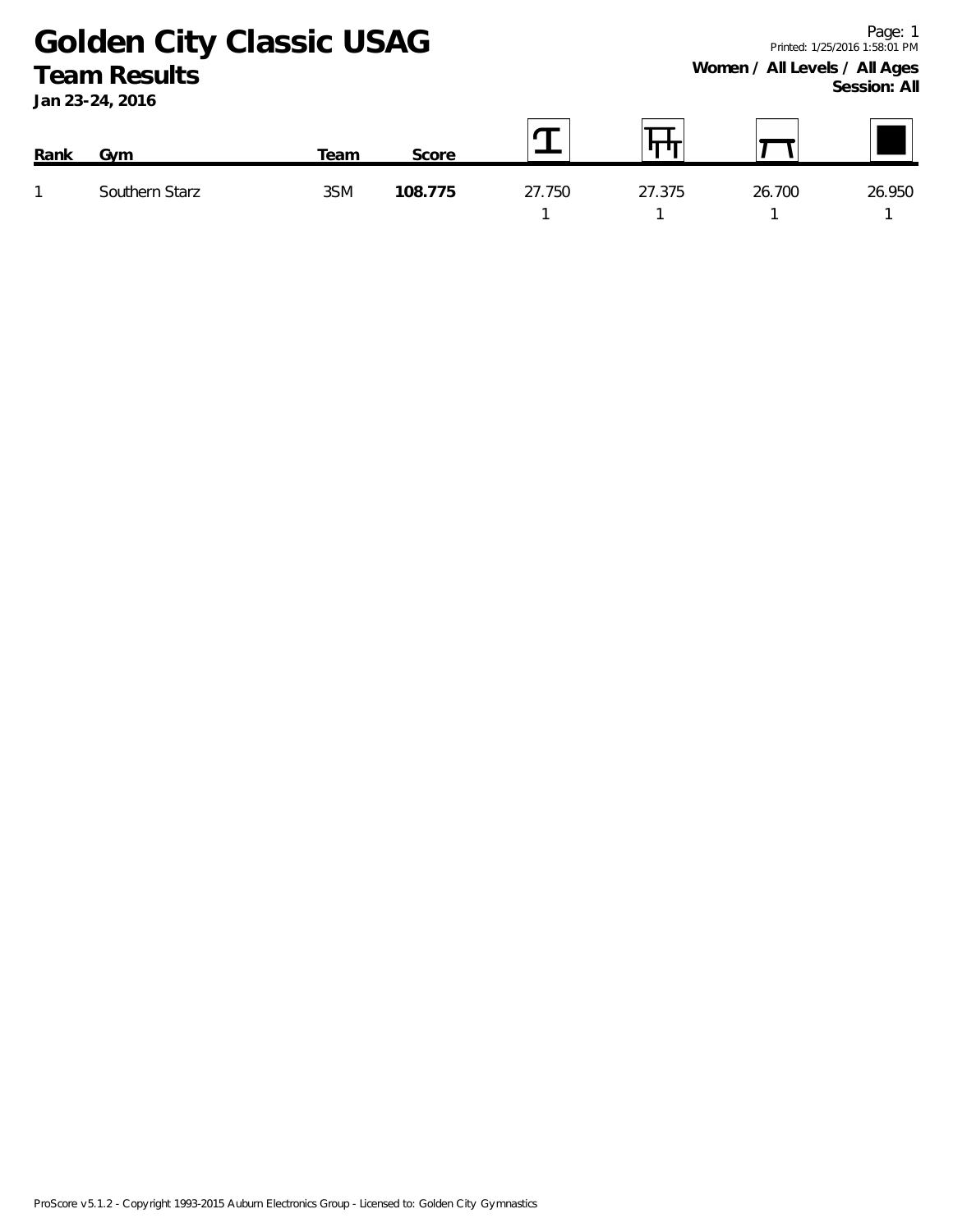**Golden City Classic USAG Team Results**

**Jan 23-24, 2016**

| Rank | Gvm            | Геаm | Score   |        | ш      |        |        |
|------|----------------|------|---------|--------|--------|--------|--------|
|      | Southern Starz | 3SM  | 108.775 | 27.750 | 27.375 | 26.700 | 26.950 |